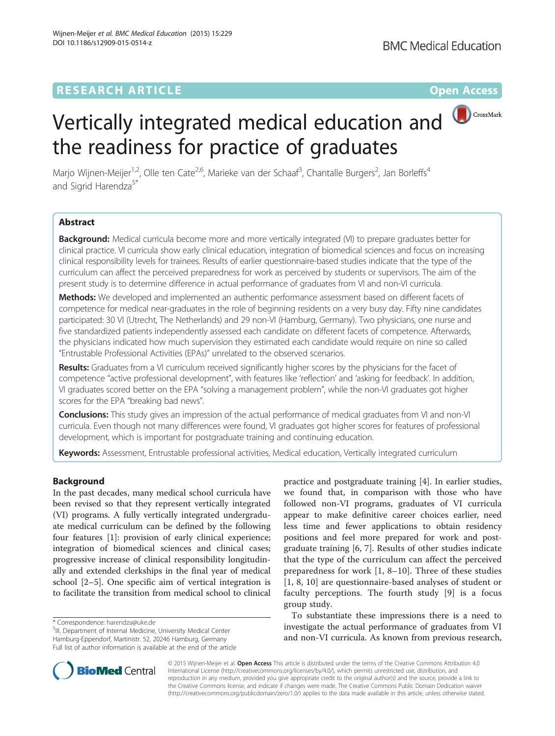## **RESEARCH ARTICLE External Structure Community Community Community Community Community Community Community Community**



# Vertically integrated medical education and **OCCOSSMark** the readiness for practice of graduates

Marjo Wijnen-Meijer<sup>1,2</sup>, Olle ten Cate<sup>2,6</sup>, Marieke van der Schaaf<sup>3</sup>, Chantalle Burgers<sup>2</sup>, Jan Borleffs<sup>4</sup> and Sigrid Harendza<sup>5\*</sup>

## Abstract

**Background:** Medical curricula become more and more vertically integrated (VI) to prepare graduates better for clinical practice. VI curricula show early clinical education, integration of biomedical sciences and focus on increasing clinical responsibility levels for trainees. Results of earlier questionnaire-based studies indicate that the type of the curriculum can affect the perceived preparedness for work as perceived by students or supervisors. The aim of the present study is to determine difference in actual performance of graduates from VI and non-VI curricula.

Methods: We developed and implemented an authentic performance assessment based on different facets of competence for medical near-graduates in the role of beginning residents on a very busy day. Fifty nine candidates participated: 30 VI (Utrecht, The Netherlands) and 29 non-VI (Hamburg, Germany). Two physicians, one nurse and five standardized patients independently assessed each candidate on different facets of competence. Afterwards, the physicians indicated how much supervision they estimated each candidate would require on nine so called "Entrustable Professional Activities (EPAs)" unrelated to the observed scenarios.

Results: Graduates from a VI curriculum received significantly higher scores by the physicians for the facet of competence "active professional development", with features like 'reflection' and 'asking for feedback'. In addition, VI graduates scored better on the EPA "solving a management problem", while the non-VI graduates got higher scores for the EPA "breaking bad news".

**Conclusions:** This study gives an impression of the actual performance of medical graduates from VI and non-VI curricula. Even though not many differences were found, VI graduates got higher scores for features of professional development, which is important for postgraduate training and continuing education.

Keywords: Assessment, Entrustable professional activities, Medical education, Vertically integrated curriculum

## Background

In the past decades, many medical school curricula have been revised so that they represent vertically integrated (VI) programs. A fully vertically integrated undergraduate medical curriculum can be defined by the following four features [[1\]](#page-7-0): provision of early clinical experience; integration of biomedical sciences and clinical cases; progressive increase of clinical responsibility longitudinally and extended clerkships in the final year of medical school [\[2](#page-7-0)–[5\]](#page-7-0). One specific aim of vertical integration is to facilitate the transition from medical school to clinical

\* Correspondence: [harendza@uke.de](mailto:harendza@uke.de) <sup>5</sup>

<sup>5</sup>III. Department of Internal Medicine, University Medical Center Hamburg-Eppendorf, Martinistr. 52, 20246 Hamburg, Germany Full list of author information is available at the end of the article practice and postgraduate training [\[4](#page-7-0)]. In earlier studies, we found that, in comparison with those who have followed non-VI programs, graduates of VI curricula appear to make definitive career choices earlier, need less time and fewer applications to obtain residency positions and feel more prepared for work and postgraduate training [\[6](#page-7-0), [7](#page-7-0)]. Results of other studies indicate that the type of the curriculum can affect the perceived preparedness for work [\[1](#page-7-0), [8](#page-7-0)–[10\]](#page-7-0). Three of these studies [[1, 8](#page-7-0), [10\]](#page-7-0) are questionnaire-based analyses of student or faculty perceptions. The fourth study [[9](#page-7-0)] is a focus group study.

To substantiate these impressions there is a need to investigate the actual performance of graduates from VI and non-VI curricula. As known from previous research,



© 2015 Wijnen-Meijer et al. Open Access This article is distributed under the terms of the Creative Commons Attribution 4.0 International License [\(http://creativecommons.org/licenses/by/4.0/](http://creativecommons.org/licenses/by/4.0/)), which permits unrestricted use, distribution, and reproduction in any medium, provided you give appropriate credit to the original author(s) and the source, provide a link to the Creative Commons license, and indicate if changes were made. The Creative Commons Public Domain Dedication waiver [\(http://creativecommons.org/publicdomain/zero/1.0/](http://creativecommons.org/publicdomain/zero/1.0/)) applies to the data made available in this article, unless otherwise stated.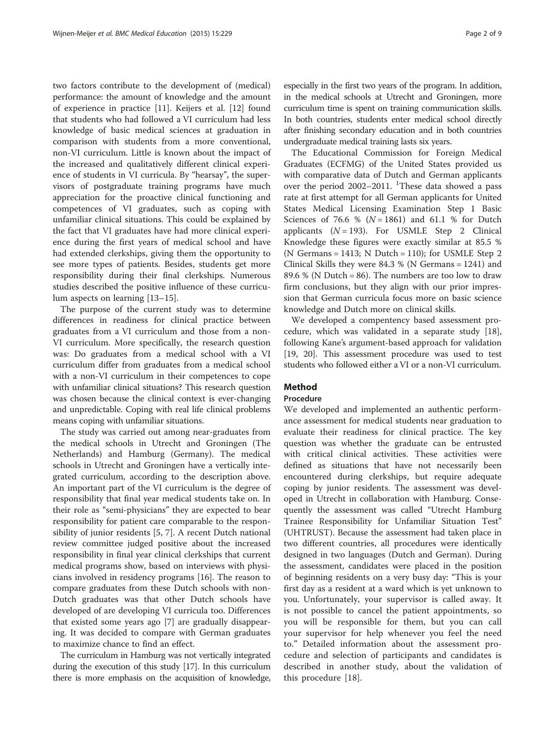two factors contribute to the development of (medical) performance: the amount of knowledge and the amount of experience in practice [\[11\]](#page-7-0). Keijers et al. [\[12](#page-7-0)] found that students who had followed a VI curriculum had less knowledge of basic medical sciences at graduation in comparison with students from a more conventional, non-VI curriculum. Little is known about the impact of the increased and qualitatively different clinical experience of students in VI curricula. By "hearsay", the supervisors of postgraduate training programs have much appreciation for the proactive clinical functioning and competences of VI graduates, such as coping with unfamiliar clinical situations. This could be explained by the fact that VI graduates have had more clinical experience during the first years of medical school and have had extended clerkships, giving them the opportunity to see more types of patients. Besides, students get more responsibility during their final clerkships. Numerous studies described the positive influence of these curriculum aspects on learning [[13](#page-7-0)–[15](#page-7-0)].

The purpose of the current study was to determine differences in readiness for clinical practice between graduates from a VI curriculum and those from a non-VI curriculum. More specifically, the research question was: Do graduates from a medical school with a VI curriculum differ from graduates from a medical school with a non-VI curriculum in their competences to cope with unfamiliar clinical situations? This research question was chosen because the clinical context is ever-changing and unpredictable. Coping with real life clinical problems means coping with unfamiliar situations.

The study was carried out among near-graduates from the medical schools in Utrecht and Groningen (The Netherlands) and Hamburg (Germany). The medical schools in Utrecht and Groningen have a vertically integrated curriculum, according to the description above. An important part of the VI curriculum is the degree of responsibility that final year medical students take on. In their role as "semi-physicians" they are expected to bear responsibility for patient care comparable to the responsibility of junior residents [[5](#page-7-0), [7](#page-7-0)]. A recent Dutch national review committee judged positive about the increased responsibility in final year clinical clerkships that current medical programs show, based on interviews with physicians involved in residency programs [[16\]](#page-7-0). The reason to compare graduates from these Dutch schools with non-Dutch graduates was that other Dutch schools have developed of are developing VI curricula too. Differences that existed some years ago [\[7](#page-7-0)] are gradually disappearing. It was decided to compare with German graduates to maximize chance to find an effect.

The curriculum in Hamburg was not vertically integrated during the execution of this study [[17\]](#page-7-0). In this curriculum there is more emphasis on the acquisition of knowledge,

especially in the first two years of the program. In addition, in the medical schools at Utrecht and Groningen, more curriculum time is spent on training communication skills. In both countries, students enter medical school directly after finishing secondary education and in both countries undergraduate medical training lasts six years.

The Educational Commission for Foreign Medical Graduates (ECFMG) of the United States provided us with comparative data of Dutch and German applicants over the period 2002-2011. <sup>1</sup>These data showed a pass rate at first attempt for all German applicants for United States Medical Licensing Examination Step 1 Basic Sciences of 76.6 % ( $N = 1861$ ) and 61.1 % for Dutch applicants  $(N = 193)$ . For USMLE Step 2 Clinical Knowledge these figures were exactly similar at 85.5 % (N Germans = 1413; N Dutch = 110); for USMLE Step 2 Clinical Skills they were 84.3 % (N Germans = 1241) and 89.6 % (N Dutch = 86). The numbers are too low to draw firm conclusions, but they align with our prior impression that German curricula focus more on basic science knowledge and Dutch more on clinical skills.

We developed a compentency based assessment procedure, which was validated in a separate study [\[18](#page-7-0)], following Kane's argument-based approach for validation [[19, 20\]](#page-7-0). This assessment procedure was used to test students who followed either a VI or a non-VI curriculum.

## Method

## Procedure

We developed and implemented an authentic performance assessment for medical students near graduation to evaluate their readiness for clinical practice. The key question was whether the graduate can be entrusted with critical clinical activities. These activities were defined as situations that have not necessarily been encountered during clerkships, but require adequate coping by junior residents. The assessment was developed in Utrecht in collaboration with Hamburg. Consequently the assessment was called "Utrecht Hamburg Trainee Responsibility for Unfamiliar Situation Test" (UHTRUST). Because the assessment had taken place in two different countries, all procedures were identically designed in two languages (Dutch and German). During the assessment, candidates were placed in the position of beginning residents on a very busy day: "This is your first day as a resident at a ward which is yet unknown to you. Unfortunately, your supervisor is called away. It is not possible to cancel the patient appointments, so you will be responsible for them, but you can call your supervisor for help whenever you feel the need to." Detailed information about the assessment procedure and selection of participants and candidates is described in another study, about the validation of this procedure [\[18](#page-7-0)].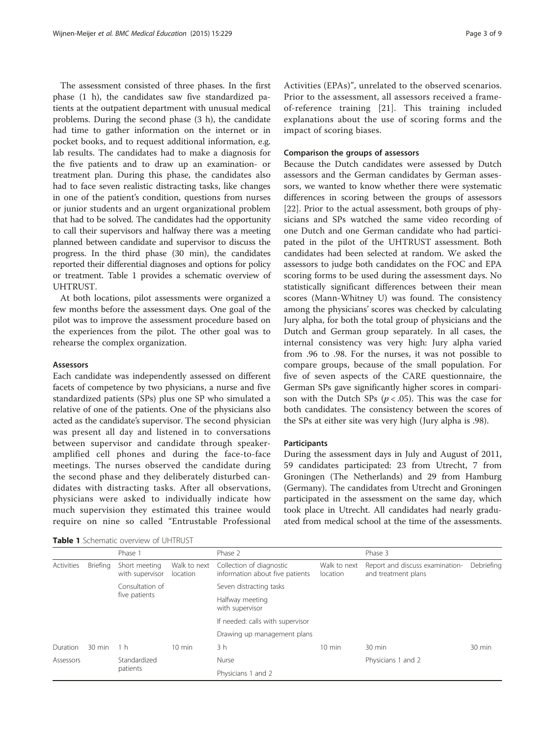The assessment consisted of three phases. In the first phase (1 h), the candidates saw five standardized patients at the outpatient department with unusual medical problems. During the second phase (3 h), the candidate had time to gather information on the internet or in pocket books, and to request additional information, e.g. lab results. The candidates had to make a diagnosis for the five patients and to draw up an examination- or treatment plan. During this phase, the candidates also had to face seven realistic distracting tasks, like changes in one of the patient's condition, questions from nurses or junior students and an urgent organizational problem that had to be solved. The candidates had the opportunity to call their supervisors and halfway there was a meeting planned between candidate and supervisor to discuss the progress. In the third phase (30 min), the candidates reported their differential diagnoses and options for policy or treatment. Table 1 provides a schematic overview of UHTRUST.

At both locations, pilot assessments were organized a few months before the assessment days. One goal of the pilot was to improve the assessment procedure based on the experiences from the pilot. The other goal was to rehearse the complex organization.

#### Assessors

Each candidate was independently assessed on different facets of competence by two physicians, a nurse and five standardized patients (SPs) plus one SP who simulated a relative of one of the patients. One of the physicians also acted as the candidate's supervisor. The second physician was present all day and listened in to conversations between supervisor and candidate through speakeramplified cell phones and during the face-to-face meetings. The nurses observed the candidate during the second phase and they deliberately disturbed candidates with distracting tasks. After all observations, physicians were asked to individually indicate how much supervision they estimated this trainee would require on nine so called "Entrustable Professional Activities (EPAs)", unrelated to the observed scenarios. Prior to the assessment, all assessors received a frameof-reference training [\[21\]](#page-7-0). This training included explanations about the use of scoring forms and the impact of scoring biases.

### Comparison the groups of assessors

Because the Dutch candidates were assessed by Dutch assessors and the German candidates by German assessors, we wanted to know whether there were systematic differences in scoring between the groups of assessors [[22\]](#page-7-0). Prior to the actual assessment, both groups of physicians and SPs watched the same video recording of one Dutch and one German candidate who had participated in the pilot of the UHTRUST assessment. Both candidates had been selected at random. We asked the assessors to judge both candidates on the FOC and EPA scoring forms to be used during the assessment days. No statistically significant differences between their mean scores (Mann-Whitney U) was found. The consistency among the physicians' scores was checked by calculating Jury alpha, for both the total group of physicians and the Dutch and German group separately. In all cases, the internal consistency was very high: Jury alpha varied from .96 to .98. For the nurses, it was not possible to compare groups, because of the small population. For five of seven aspects of the CARE questionnaire, the German SPs gave significantly higher scores in comparison with the Dutch SPs ( $p < .05$ ). This was the case for both candidates. The consistency between the scores of the SPs at either site was very high (Jury alpha is .98).

#### Participants

During the assessment days in July and August of 2011, 59 candidates participated: 23 from Utrecht, 7 from Groningen (The Netherlands) and 29 from Hamburg (Germany). The candidates from Utrecht and Groningen participated in the assessment on the same day, which took place in Utrecht. All candidates had nearly graduated from medical school at the time of the assessments.

Table 1 Schematic overview of UHTRUST

|            |          | Phase 1                          |                          | Phase 2                                                     |                          | Phase 3                                                |                  |
|------------|----------|----------------------------------|--------------------------|-------------------------------------------------------------|--------------------------|--------------------------------------------------------|------------------|
| Activities | Briefing | Short meeting<br>with supervisor | Walk to next<br>location | Collection of diagnostic<br>information about five patients | Walk to next<br>location | Report and discuss examination-<br>and treatment plans | Debriefing       |
|            |          | Consultation of<br>five patients |                          | Seven distracting tasks                                     |                          |                                                        |                  |
|            |          |                                  |                          | Halfway meeting<br>with supervisor                          |                          |                                                        |                  |
|            |          |                                  |                          | If needed: calls with supervisor                            |                          |                                                        |                  |
|            |          |                                  |                          | Drawing up management plans                                 |                          |                                                        |                  |
| Duration   | 30 min   | 1 <sub>h</sub>                   | $10 \text{ min}$         | 3 h                                                         | $10 \text{ min}$         | $30 \text{ min}$                                       | $30 \text{ min}$ |
| Assessors  |          | Standardized<br>patients         |                          | Nurse                                                       |                          | Physicians 1 and 2                                     |                  |
|            |          |                                  |                          | Physicians 1 and 2                                          |                          |                                                        |                  |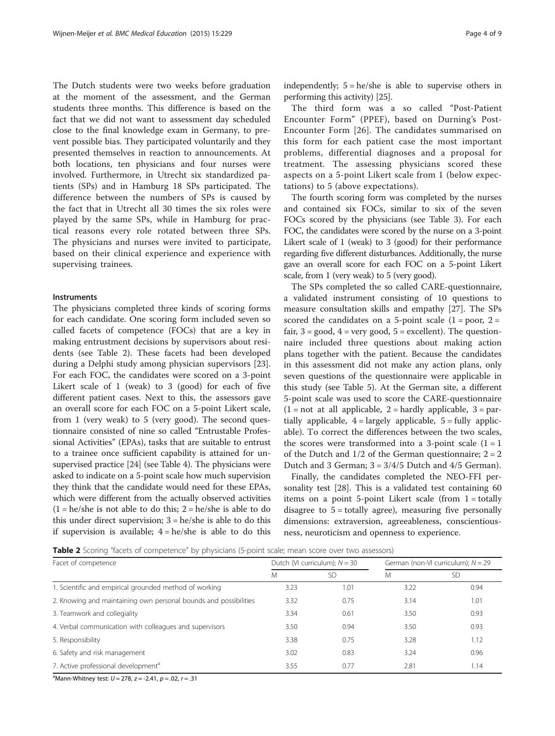<span id="page-3-0"></span>The Dutch students were two weeks before graduation at the moment of the assessment, and the German students three months. This difference is based on the fact that we did not want to assessment day scheduled close to the final knowledge exam in Germany, to prevent possible bias. They participated voluntarily and they presented themselves in reaction to announcements. At both locations, ten physicians and four nurses were involved. Furthermore, in Utrecht six standardized patients (SPs) and in Hamburg 18 SPs participated. The difference between the numbers of SPs is caused by the fact that in Utrecht all 30 times the six roles were played by the same SPs, while in Hamburg for practical reasons every role rotated between three SPs. The physicians and nurses were invited to participate, based on their clinical experience and experience with supervising trainees.

#### **Instruments**

The physicians completed three kinds of scoring forms for each candidate. One scoring form included seven so called facets of competence (FOCs) that are a key in making entrustment decisions by supervisors about residents (see Table 2). These facets had been developed during a Delphi study among physician supervisors [\[23](#page-7-0)]. For each FOC, the candidates were scored on a 3-point Likert scale of 1 (weak) to 3 (good) for each of five different patient cases. Next to this, the assessors gave an overall score for each FOC on a 5-point Likert scale, from 1 (very weak) to 5 (very good). The second questionnaire consisted of nine so called "Entrustable Professional Activities" (EPAs), tasks that are suitable to entrust to a trainee once sufficient capability is attained for unsupervised practice [\[24\]](#page-7-0) (see Table [4](#page-5-0)). The physicians were asked to indicate on a 5-point scale how much supervision they think that the candidate would need for these EPAs, which were different from the actually observed activities  $(1 = he/she)$  is not able to do this;  $2 = he/she$  is able to do this under direct supervision;  $3 = \frac{he}{she}$  is able to do this if supervision is available;  $4 = \frac{he}{she}$  is able to do this

independently;  $5 = \frac{he}{she}$  is able to supervise others in performing this activity) [[25](#page-7-0)].

The third form was a so called "Post-Patient Encounter Form" (PPEF), based on Durning's Post-Encounter Form [[26](#page-7-0)]. The candidates summarised on this form for each patient case the most important problems, differential diagnoses and a proposal for treatment. The assessing physicians scored these aspects on a 5-point Likert scale from 1 (below expectations) to 5 (above expectations).

The fourth scoring form was completed by the nurses and contained six FOCs, similar to six of the seven FOCs scored by the physicians (see Table [3\)](#page-4-0). For each FOC, the candidates were scored by the nurse on a 3-point Likert scale of 1 (weak) to 3 (good) for their performance regarding five different disturbances. Additionally, the nurse gave an overall score for each FOC on a 5-point Likert scale, from 1 (very weak) to 5 (very good).

The SPs completed the so called CARE-questionnaire, a validated instrument consisting of 10 questions to measure consultation skills and empathy [\[27](#page-8-0)]. The SPs scored the candidates on a 5-point scale  $(1 = poor, 2 =$ fair,  $3 = \text{good}$ ,  $4 = \text{very good}$ ,  $5 = \text{excellent}$ ). The questionnaire included three questions about making action plans together with the patient. Because the candidates in this assessment did not make any action plans, only seven questions of the questionnaire were applicable in this study (see Table [5\)](#page-5-0). At the German site, a different 5-point scale was used to score the CARE-questionnaire  $(1 = not at all applicable, 2 = hardly applicable, 3 = par$ tially applicable,  $4 =$ largely applicable,  $5 =$  fully applicable). To correct the differences between the two scales, the scores were transformed into a 3-point scale  $(1 = 1$ of the Dutch and  $1/2$  of the German questionnaire;  $2 = 2$ Dutch and 3 German; 3 = 3/4/5 Dutch and 4/5 German).

Finally, the candidates completed the NEO-FFI personality test [\[28\]](#page-8-0). This is a validated test containing 60 items on a point 5-point Likert scale (from  $1 =$  totally disagree to  $5 =$  totally agree), measuring five personally dimensions: extraversion, agreeableness, conscientiousness, neuroticism and openness to experience.

Table 2 Scoring "facets of competence" by physicians (5-point scale; mean score over two assessors)

| Facet of competence                                              | Dutch (VI curriculum); $N = 30$ |           | German (non-VI curriculum); $N = 29$ |      |
|------------------------------------------------------------------|---------------------------------|-----------|--------------------------------------|------|
|                                                                  | М                               | <b>SD</b> | M                                    | SD   |
| 1. Scientific and empirical grounded method of working           | 3.23                            | 1.01      | 3.22                                 | 0.94 |
| 2. Knowing and maintaining own personal bounds and possibilities | 3.32                            | 0.75      | 3.14                                 | 1.01 |
| 3. Teamwork and collegiality                                     | 3.34                            | 0.61      | 3.50                                 | 0.93 |
| 4. Verbal communication with colleagues and supervisors          | 3.50                            | 0.94      | 3.50                                 | 0.93 |
| 5. Responsibility                                                | 3.38                            | 0.75      | 3.28                                 | 1.12 |
| 6. Safety and risk management                                    | 3.02                            | 0.83      | 3.24                                 | 0.96 |
| 7. Active professional development <sup>a</sup>                  | 3.55                            | 0.77      | 2.81                                 | 1.14 |

 $a^2$ Mann-Whitney test:  $U = 278$ ,  $z = -2.41$ ,  $p = .02$ ,  $r = .31$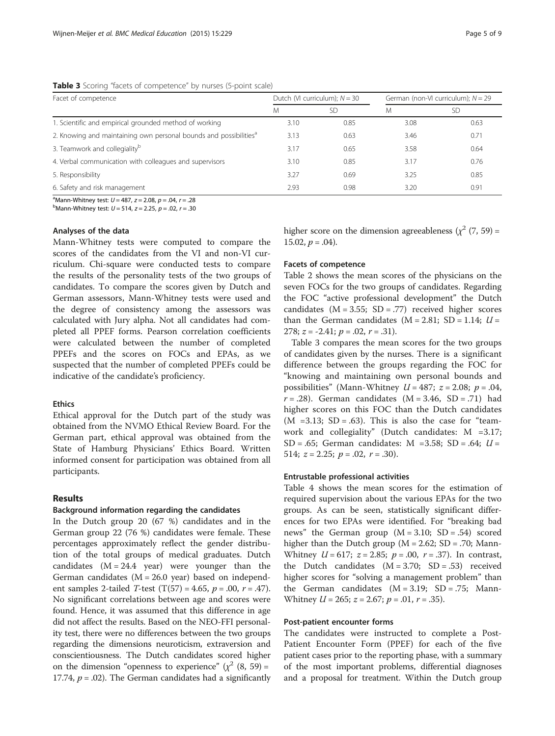| Facet of competence                                    | Dutch (VI curriculum): $N = 30$ | German (non-VI curriculum); $N = 29$ |      |  |
|--------------------------------------------------------|---------------------------------|--------------------------------------|------|--|
|                                                        |                                 |                                      |      |  |
| 1. Scientific and empirical grounded method of working | 0.85                            | 3.08                                 | 0.63 |  |

#### <span id="page-4-0"></span>Table 3 Scoring "facets of competence" by nurses (5-point scale)

|                                                                               | М    | SD   | M    | SD   |  |
|-------------------------------------------------------------------------------|------|------|------|------|--|
| 1. Scientific and empirical grounded method of working                        | 3.10 | 0.85 | 3.08 | 0.63 |  |
| 2. Knowing and maintaining own personal bounds and possibilities <sup>a</sup> | 3.13 | 0.63 | 3.46 | 0.71 |  |
| 3. Teamwork and collegiality <sup>b</sup>                                     | 3.17 | 0.65 | 3.58 | 0.64 |  |
| 4. Verbal communication with colleagues and supervisors                       | 3.10 | 0.85 | 3.17 | 0.76 |  |
| 5. Responsibility                                                             | 3.27 | 0.69 | 3.25 | 0.85 |  |
| 6. Safety and risk management                                                 | 2.93 | 0.98 | 3.20 | 0.91 |  |
|                                                                               |      |      |      |      |  |

<sup>a</sup> Mann-Whitney test:  $U = 487$ ,  $z = 2.08$ ,  $p = .04$ ,  $r = .28$ <br><sup>b</sup> Mann-Whitney test:  $U = 514$ ,  $z = 2.25$ ,  $p = .02$ ,  $r = .30$ <sup>b</sup>Mann-Whitney test:  $U = 514$ ,  $z = 2.25$ ,  $p = .02$ ,  $r = .30$ 

#### Analyses of the data

Mann-Whitney tests were computed to compare the scores of the candidates from the VI and non-VI curriculum. Chi-square were conducted tests to compare the results of the personality tests of the two groups of candidates. To compare the scores given by Dutch and German assessors, Mann-Whitney tests were used and the degree of consistency among the assessors was calculated with Jury alpha. Not all candidates had completed all PPEF forms. Pearson correlation coefficients were calculated between the number of completed PPEFs and the scores on FOCs and EPAs, as we suspected that the number of completed PPEFs could be indicative of the candidate's proficiency.

#### Ethics

Ethical approval for the Dutch part of the study was obtained from the NVMO Ethical Review Board. For the German part, ethical approval was obtained from the State of Hamburg Physicians' Ethics Board. Written informed consent for participation was obtained from all participants.

#### Results

#### Background information regarding the candidates

In the Dutch group 20 (67 %) candidates and in the German group 22 (76 %) candidates were female. These percentages approximately reflect the gender distribution of the total groups of medical graduates. Dutch candidates  $(M = 24.4$  year) were younger than the German candidates  $(M = 26.0 \text{ year})$  based on independent samples 2-tailed *T*-test  $(T(57) = 4.65, p = .00, r = .47)$ . No significant correlations between age and scores were found. Hence, it was assumed that this difference in age did not affect the results. Based on the NEO-FFI personality test, there were no differences between the two groups regarding the dimensions neuroticism, extraversion and conscientiousness. The Dutch candidates scored higher on the dimension "openness to experience"  $(\chi^2(8, 59))$  = 17.74,  $p = .02$ ). The German candidates had a significantly higher score on the dimension agreeableness ( $\chi^2$  (7, 59) = 15.02,  $p = .04$ ).

#### Facets of competence

Table [2](#page-3-0) shows the mean scores of the physicians on the seven FOCs for the two groups of candidates. Regarding the FOC "active professional development" the Dutch candidates  $(M = 3.55; SD = .77)$  received higher scores than the German candidates  $(M = 2.81; SD = 1.14; U =$ 278;  $z = -2.41$ ;  $p = .02$ ,  $r = .31$ ).

Table 3 compares the mean scores for the two groups of candidates given by the nurses. There is a significant difference between the groups regarding the FOC for "knowing and maintaining own personal bounds and possibilities" (Mann-Whitney  $U = 487$ ;  $z = 2.08$ ;  $p = .04$ ,  $r = .28$ ). German candidates (M = 3.46, SD = .71) had higher scores on this FOC than the Dutch candidates  $(M = 3.13; SD = .63)$ . This is also the case for "teamwork and collegiality" (Dutch candidates: M =3.17;  $SD = .65$ ; German candidates: M = 3.58; SD = .64;  $U =$ 514;  $z = 2.25$ ;  $p = .02$ ,  $r = .30$ ).

### Entrustable professional activities

Table [4](#page-5-0) shows the mean scores for the estimation of required supervision about the various EPAs for the two groups. As can be seen, statistically significant differences for two EPAs were identified. For "breaking bad news" the German group  $(M = 3.10; SD = .54)$  scored higher than the Dutch group ( $M = 2.62$ ; SD = .70; Mann-Whitney  $U = 617$ ;  $z = 2.85$ ;  $p = .00$ ,  $r = .37$ ). In contrast, the Dutch candidates  $(M = 3.70; SD = .53)$  received higher scores for "solving a management problem" than the German candidates  $(M = 3.19; SD = .75; Mann-$ Whitney  $U = 265$ ;  $z = 2.67$ ;  $p = .01$ ,  $r = .35$ ).

#### Post-patient encounter forms

The candidates were instructed to complete a Post-Patient Encounter Form (PPEF) for each of the five patient cases prior to the reporting phase, with a summary of the most important problems, differential diagnoses and a proposal for treatment. Within the Dutch group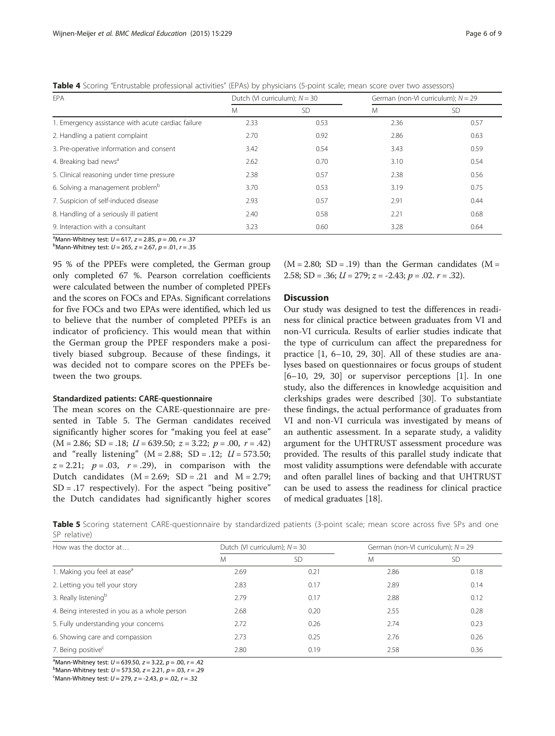<span id="page-5-0"></span>Table 4 Scoring "Entrustable professional activities" (EPAs) by physicians (5-point scale; mean score over two assessors)

| EPA                                                | Dutch (VI curriculum); $N = 30$ |           | German (non-VI curriculum); $N = 29$ |      |
|----------------------------------------------------|---------------------------------|-----------|--------------------------------------|------|
|                                                    | M                               | <b>SD</b> | M                                    | SD.  |
| 1. Emergency assistance with acute cardiac failure | 2.33                            | 0.53      | 2.36                                 | 0.57 |
| 2. Handling a patient complaint                    | 2.70                            | 0.92      | 2.86                                 | 0.63 |
| 3. Pre-operative information and consent           | 3.42                            | 0.54      | 3.43                                 | 0.59 |
| 4. Breaking bad news <sup>a</sup>                  | 2.62                            | 0.70      | 3.10                                 | 0.54 |
| 5. Clinical reasoning under time pressure          | 2.38                            | 0.57      | 2.38                                 | 0.56 |
| 6. Solving a management problem <sup>b</sup>       | 3.70                            | 0.53      | 3.19                                 | 0.75 |
| 7. Suspicion of self-induced disease               | 2.93                            | 0.57      | 2.91                                 | 0.44 |
| 8. Handling of a seriously ill patient             | 2.40                            | 0.58      | 2.21                                 | 0.68 |
| 9. Interaction with a consultant                   | 3.23                            | 0.60      | 3.28                                 | 0.64 |

<sup>a</sup> Mann-Whitney test:  $U = 617$ ,  $z = 2.85$ ,  $p = .00$ ,  $r = .37$ <br><sup>b</sup> Mann-Whitney test:  $U = 265$ ,  $z = 2.67$ ,  $p = .01$ ,  $r = .35$ 

<sup>b</sup>Mann-Whitney test:  $U = 265$ ,  $z = 2.67$ ,  $p = .01$ ,  $r = .35$ 

95 % of the PPEFs were completed, the German group only completed 67 %. Pearson correlation coefficients were calculated between the number of completed PPEFs and the scores on FOCs and EPAs. Significant correlations for five FOCs and two EPAs were identified, which led us to believe that the number of completed PPEFs is an indicator of proficiency. This would mean that within the German group the PPEF responders make a positively biased subgroup. Because of these findings, it was decided not to compare scores on the PPEFs between the two groups.

#### Standardized patients: CARE-questionnaire

The mean scores on the CARE-questionnaire are presented in Table 5. The German candidates received significantly higher scores for "making you feel at ease"  $(M = 2.86; SD = .18; U = 639.50; z = 3.22; p = .00, r = .42)$ and "really listening"  $(M = 2.88; SD = .12; U = 573.50;$  $z = 2.21$ ;  $p = .03$ ,  $r = .29$ ), in comparison with the Dutch candidates  $(M = 2.69; SD = .21$  and  $M = 2.79;$  $SD = .17$  respectively). For the aspect "being positive" the Dutch candidates had significantly higher scores

 $(M = 2.80; SD = .19)$  than the German candidates  $(M = 100)$ 2.58; SD = .36;  $U = 279$ ;  $z = -2.43$ ;  $p = .02$ .  $r = .32$ ).

#### **Discussion**

Our study was designed to test the differences in readiness for clinical practice between graduates from VI and non-VI curricula. Results of earlier studies indicate that the type of curriculum can affect the preparedness for practice [\[1](#page-7-0), [6](#page-7-0)–[10](#page-7-0), [29](#page-8-0), [30\]](#page-8-0). All of these studies are analyses based on questionnaires or focus groups of student  $[6–10, 29, 30]$  $[6–10, 29, 30]$  $[6–10, 29, 30]$  $[6–10, 29, 30]$  $[6–10, 29, 30]$  $[6–10, 29, 30]$  $[6–10, 29, 30]$  $[6–10, 29, 30]$  or supervisor perceptions  $[1]$  $[1]$ . In one study, also the differences in knowledge acquisition and clerkships grades were described [\[30\]](#page-8-0). To substantiate these findings, the actual performance of graduates from VI and non-VI curricula was investigated by means of an authentic assessment. In a separate study, a validity argument for the UHTRUST assessment procedure was provided. The results of this parallel study indicate that most validity assumptions were defendable with accurate and often parallel lines of backing and that UHTRUST can be used to assess the readiness for clinical practice of medical graduates [\[18](#page-7-0)].

Table 5 Scoring statement CARE-questionnaire by standardized patients (3-point scale; mean score across five SPs and one SP relative)

| How was the doctor at                        | Dutch (VI curriculum); $N = 30$ |      | German (non-VI curriculum); $N = 29$ |      |  |
|----------------------------------------------|---------------------------------|------|--------------------------------------|------|--|
|                                              | M                               | SD   | М                                    | SD   |  |
| 1. Making you feel at ease <sup>a</sup>      | 2.69                            | 0.21 | 2.86                                 | 0.18 |  |
| 2. Letting you tell your story               | 2.83                            | 0.17 | 2.89                                 | 0.14 |  |
| 3. Really listening <sup>b</sup>             | 2.79                            | 0.17 | 2.88                                 | 0.12 |  |
| 4. Being interested in you as a whole person | 2.68                            | 0.20 | 2.55                                 | 0.28 |  |
| 5. Fully understanding your concerns         | 2.72                            | 0.26 | 2.74                                 | 0.23 |  |
| 6. Showing care and compassion               | 2.73                            | 0.25 | 2.76                                 | 0.26 |  |
| 7. Being positive <sup>c</sup>               | 2.80                            | 0.19 | 2.58                                 | 0.36 |  |

<sup>a</sup> Mann-Whitney test:  $U = 639.50$ ,  $z = 3.22$ ,  $p = .00$ ,  $r = .42$ <br><sup>b</sup> Mann Whitnoy test:  $U = 573.50$ ,  $z = 2.31$ ,  $p = .03$ ,  $r = .20$ 

<sup>b</sup>Mann-Whitney test:  $U = 573.50$ ,  $z = 2.21$ ,  $p = .03$ ,  $r = .29$ 

<sup>c</sup>Mann-Whitney test:  $U = 279$ ,  $z = -2.43$ ,  $p = .02$ ,  $r = .32$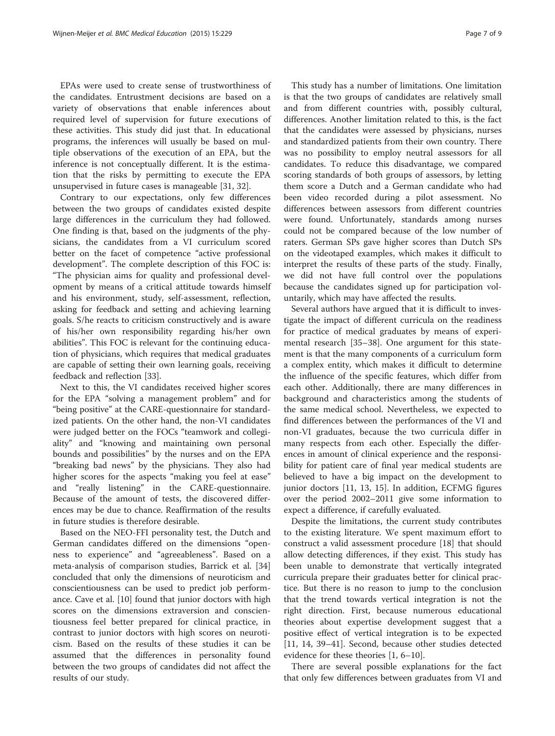EPAs were used to create sense of trustworthiness of the candidates. Entrustment decisions are based on a variety of observations that enable inferences about required level of supervision for future executions of these activities. This study did just that. In educational programs, the inferences will usually be based on multiple observations of the execution of an EPA, but the inference is not conceptually different. It is the estimation that the risks by permitting to execute the EPA unsupervised in future cases is manageable [\[31](#page-8-0), [32](#page-8-0)].

Contrary to our expectations, only few differences between the two groups of candidates existed despite large differences in the curriculum they had followed. One finding is that, based on the judgments of the physicians, the candidates from a VI curriculum scored better on the facet of competence "active professional development". The complete description of this FOC is: "The physician aims for quality and professional development by means of a critical attitude towards himself and his environment, study, self-assessment, reflection, asking for feedback and setting and achieving learning goals. S/he reacts to criticism constructively and is aware of his/her own responsibility regarding his/her own abilities". This FOC is relevant for the continuing education of physicians, which requires that medical graduates are capable of setting their own learning goals, receiving feedback and reflection [\[33\]](#page-8-0).

Next to this, the VI candidates received higher scores for the EPA "solving a management problem" and for "being positive" at the CARE-questionnaire for standardized patients. On the other hand, the non-VI candidates were judged better on the FOCs "teamwork and collegiality" and "knowing and maintaining own personal bounds and possibilities" by the nurses and on the EPA "breaking bad news" by the physicians. They also had higher scores for the aspects "making you feel at ease" and "really listening" in the CARE-questionnaire. Because of the amount of tests, the discovered differences may be due to chance. Reaffirmation of the results in future studies is therefore desirable.

Based on the NEO-FFI personality test, the Dutch and German candidates differed on the dimensions "openness to experience" and "agreeableness". Based on a meta-analysis of comparison studies, Barrick et al. [[34](#page-8-0)] concluded that only the dimensions of neuroticism and conscientiousness can be used to predict job performance. Cave et al. [[10\]](#page-7-0) found that junior doctors with high scores on the dimensions extraversion and conscientiousness feel better prepared for clinical practice, in contrast to junior doctors with high scores on neuroticism. Based on the results of these studies it can be assumed that the differences in personality found between the two groups of candidates did not affect the results of our study.

This study has a number of limitations. One limitation is that the two groups of candidates are relatively small and from different countries with, possibly cultural, differences. Another limitation related to this, is the fact that the candidates were assessed by physicians, nurses and standardized patients from their own country. There was no possibility to employ neutral assessors for all candidates. To reduce this disadvantage, we compared scoring standards of both groups of assessors, by letting them score a Dutch and a German candidate who had been video recorded during a pilot assessment. No differences between assessors from different countries were found. Unfortunately, standards among nurses could not be compared because of the low number of raters. German SPs gave higher scores than Dutch SPs on the videotaped examples, which makes it difficult to interpret the results of these parts of the study. Finally, we did not have full control over the populations because the candidates signed up for participation voluntarily, which may have affected the results.

Several authors have argued that it is difficult to investigate the impact of different curricula on the readiness for practice of medical graduates by means of experimental research [\[35](#page-8-0)–[38\]](#page-8-0). One argument for this statement is that the many components of a curriculum form a complex entity, which makes it difficult to determine the influence of the specific features, which differ from each other. Additionally, there are many differences in background and characteristics among the students of the same medical school. Nevertheless, we expected to find differences between the performances of the VI and non-VI graduates, because the two curricula differ in many respects from each other. Especially the differences in amount of clinical experience and the responsibility for patient care of final year medical students are believed to have a big impact on the development to junior doctors [[11, 13](#page-7-0), [15](#page-7-0)]. In addition, ECFMG figures over the period 2002–2011 give some information to expect a difference, if carefully evaluated.

Despite the limitations, the current study contributes to the existing literature. We spent maximum effort to construct a valid assessment procedure [[18\]](#page-7-0) that should allow detecting differences, if they exist. This study has been unable to demonstrate that vertically integrated curricula prepare their graduates better for clinical practice. But there is no reason to jump to the conclusion that the trend towards vertical integration is not the right direction. First, because numerous educational theories about expertise development suggest that a positive effect of vertical integration is to be expected [[11, 14,](#page-7-0) [39](#page-8-0)–[41](#page-8-0)]. Second, because other studies detected evidence for these theories [\[1](#page-7-0), [6](#page-7-0)–[10\]](#page-7-0).

There are several possible explanations for the fact that only few differences between graduates from VI and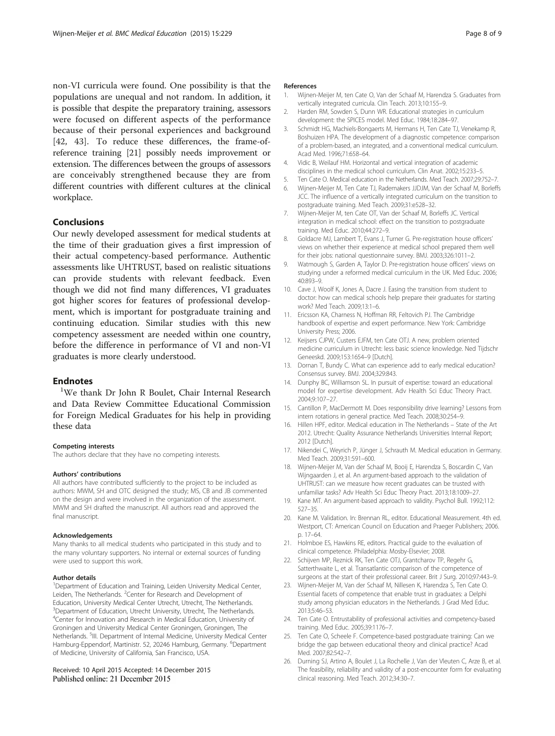<span id="page-7-0"></span>non-VI curricula were found. One possibility is that the populations are unequal and not random. In addition, it is possible that despite the preparatory training, assessors were focused on different aspects of the performance because of their personal experiences and background [[42, 43\]](#page-8-0). To reduce these differences, the frame-ofreference training [21] possibly needs improvement or extension. The differences between the groups of assessors are conceivably strengthened because they are from different countries with different cultures at the clinical workplace.

#### Conclusions

Our newly developed assessment for medical students at the time of their graduation gives a first impression of their actual competency-based performance. Authentic assessments like UHTRUST, based on realistic situations can provide students with relevant feedback. Even though we did not find many differences, VI graduates got higher scores for features of professional development, which is important for postgraduate training and continuing education. Similar studies with this new competency assessment are needed within one country, before the difference in performance of VI and non-VI graduates is more clearly understood.

## **Endnotes**

<sup>1</sup>We thank Dr John R Boulet, Chair Internal Research and Data Review Committee Educational Commission for Foreign Medical Graduates for his help in providing these data

#### Competing interests

The authors declare that they have no competing interests.

#### Authors' contributions

All authors have contributed sufficiently to the project to be included as authors: MWM, SH and OTC designed the study; MS, CB and JB commented on the design and were involved in the organization of the assessment. MWM and SH drafted the manuscript. All authors read and approved the final manuscript.

#### Acknowledgements

Many thanks to all medical students who participated in this study and to the many voluntary supporters. No internal or external sources of funding were used to support this work.

#### Author details

<sup>1</sup>Department of Education and Training, Leiden University Medical Center, Leiden, The Netherlands. <sup>2</sup>Center for Research and Development of Education, University Medical Center Utrecht, Utrecht, The Netherlands. <sup>3</sup> Department of Education, Utrecht University, Utrecht, The Netherlands. 4 Center for Innovation and Research in Medical Education, University of Groningen and University Medical Center Groningen, Groningen, The Netherlands. <sup>5</sup>III. Department of Internal Medicine, University Medical Center Hamburg-Eppendorf, Martinistr. 52, 20246 Hamburg, Germany. <sup>6</sup>Department of Medicine, University of California, San Francisco, USA.

#### Received: 10 April 2015 Accepted: 14 December 2015 Published online: 21 December 2015

#### References

- 1. Wijnen-Meijer M, ten Cate O, Van der Schaaf M, Harendza S. Graduates from vertically integrated curricula. Clin Teach. 2013;10:155–9.
- 2. Harden RM, Sowden S, Dunn WR. Educational strategies in curriculum development: the SPICES model. Med Educ. 1984;18:284–97.
- 3. Schmidt HG, Machiels-Bongaerts M, Hermans H, Ten Cate TJ, Venekamp R, Boshuizen HPA. The development of a diagnostic competence: comparison of a problem-based, an integrated, and a conventional medical curriculum. Acad Med. 1996;71:658–64.
- 4. Vidic B, Weilauf HM. Horizontal and vertical integration of academic disciplines in the medical school curriculum. Clin Anat. 2002;15:233–5.
- 5. Ten Cate O. Medical education in the Netherlands. Med Teach. 2007;29:752–7.
- 6. Wijnen-Meijer M, Ten Cate TJ, Rademakers JJDJM, Van der Schaaf M, Borleffs JCC. The influence of a vertically integrated curriculum on the transition to postgraduate training. Med Teach. 2009;31:e528–32.
- 7. Wijnen-Meijer M, ten Cate OT, Van der Schaaf M, Borleffs JC. Vertical integration in medical school: effect on the transition to postgraduate training. Med Educ. 2010;44:272–9.
- 8. Goldacre MJ, Lambert T, Evans J, Turner G. Pre-registration house officers' views on whether their experience at medical school prepared them well for their jobs: national questionnaire survey. BMJ. 2003;326:1011–2.
- 9. Watmough S, Garden A, Taylor D. Pre-registration house officers' views on studying under a reformed medical curriculum in the UK. Med Educ. 2006; 40:893–9.
- 10. Cave J, Woolf K, Jones A, Dacre J. Easing the transition from student to doctor: how can medical schools help prepare their graduates for starting work? Med Teach. 2009;13:1–6.
- 11. Ericsson KA, Charness N, Hoffman RR, Feltovich PJ. The Cambridge handbook of expertise and expert performance. New York: Cambridge University Press; 2006.
- 12. Keijsers CJPW, Custers EJFM, ten Cate OTJ. A new, problem oriented medicine curriculum in Utrecht: less basic science knowledge. Ned Tijdschr Geneeskd. 2009;153:1654–9 [Dutch].
- 13. Dornan T, Bundy C. What can experience add to early medical education? Consensus survey. BMJ. 2004;329:843.
- 14. Dunphy BC, Williamson SL. In pursuit of expertise: toward an educational model for expertise development. Adv Health Sci Educ Theory Pract. 2004;9:107–27.
- 15. Cantillon P, MacDermott M. Does responsibility drive learning? Lessons from intern rotations in general practice. Med Teach. 2008;30:254–9.
- 16. Hillen HPF, editor. Medical education in The Netherlands State of the Art 2012. Utrecht: Quality Assurance Netherlands Universities Internal Report; 2012 [Dutch].
- 17. Nikendei C, Weyrich P, Jünger J, Schrauth M. Medical education in Germany. Med Teach. 2009;31:591–600.
- 18. Wijnen-Meijer M, Van der Schaaf M, Booij E, Harendza S, Boscardin C, Van Wijngaarden J, et al. An argument-based approach to the validation of UHTRUST: can we measure how recent graduates can be trusted with unfamiliar tasks? Adv Health Sci Educ Theory Pract. 2013;18:1009–27.
- 19. Kane MT. An argument-based approach to validity. Psychol Bull. 1992;112: 527–35.
- 20. Kane M. Validation. In: Brennan RL, editor. Educational Measurement. 4th ed. Westport, CT: American Council on Education and Praeger Publishers; 2006. p. 17–64.
- 21. Holmboe ES, Hawkins RE, editors. Practical guide to the evaluation of clinical competence. Philadelphia: Mosby-Elsevier; 2008.
- 22. Schijven MP, Reznick RK, Ten Cate OTJ, Grantcharov TP, Regehr G, Satterthwaite L, et al. Transatlantic comparison of the competence of surgeons at the start of their professional career. Brit J Surg. 2010;97:443–9.
- 23. Wijnen-Meijer M, Van der Schaaf M, Nillesen K, Harendza S, Ten Cate O. Essential facets of competence that enable trust in graduates: a Delphi study among physician educators in the Netherlands. J Grad Med Educ. 2013;5:46–53.
- 24. Ten Cate O. Entrustability of professional activities and competency-based training. Med Educ. 2005;39:1176–7.
- 25. Ten Cate O, Scheele F. Competence-based postgraduate training: Can we bridge the gap between educational theory and clinical practice? Acad Med. 2007;82:542–7.
- 26. Durning SJ, Artino A, Boulet J, La Rochelle J, Van der Vleuten C, Arze B, et al. The feasibility, reliability and validity of a post-encounter form for evaluating clinical reasoning. Med Teach. 2012;34:30–7.